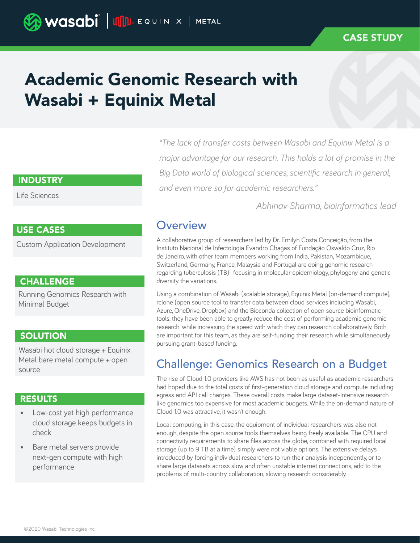### CASE STUDY

# Academic Genomic Research with Wasabi + Equinix Metal

#### INDUSTRY

Life Sciences

#### USE CASES

Custom Application Development

### **CHALLENGE**

Running Genomics Research with Minimal Budget

### **SOLUTION**

Wasabi hot cloud storage + Equinix Metal bare metal compute + open source

### RESULTS

- Low-cost yet high performance cloud storage keeps budgets in check
- Bare metal servers provide next-gen compute with high performance

*"The lack of transfer costs between Wasabi and Equinix Metal is a major advantage for our research. This holds a lot of promise in the Big Data world of biological sciences, scientific research in general, and even more so for academic researchers."* 

*Abhinav Sharma, bioinformatics lead*

### **Overview**

A collaborative group of researchers led by Dr. Emilyn Costa Conceição, from the Instituto Nacional de Infectologia Evandro Chagas of Fundação Oswaldo Cruz, Rio de Janeiro, with other team members working from India, Pakistan, Mozambique, Switzerland, Germany, France, Malaysia and Portugal are doing genomic research regarding tuberculosis (TB)- focusing in molecular epidemiology, phylogeny and genetic diversity the variations.

Using a combination of Wasabi (scalable storage), Equinix Metal (on-demand compute), rclone (open source tool to transfer data between cloud services including Wasabi, Azure, OneDrive, Dropbox) and the Bioconda collection of open source bioinformatic tools, they have been able to greatly reduce the cost of performing academic genomic research, while increasing the speed with which they can research collaboratively. Both are important for this team, as they are self-funding their research while simultaneously pursuing grant-based funding.

# Challenge: Genomics Research on a Budget

The rise of Cloud 1.0 providers like AWS has not been as useful as academic researchers had hoped due to the total costs of first-generation cloud storage and compute including egress and API call charges. These overall costs make large dataset-intensive research like genomics too expensive for most academic budgets. While the on-demand nature of Cloud 1.0 was attractive, it wasn't enough.

Local computing, in this case, the equipment of individual researchers was also not enough, despite the open source tools themselves being freely available. The CPU and connectivity requirements to share files across the globe, combined with required local storage (up to 9 TB at a time) simply were not viable options. The extensive delays introduced by forcing individual researchers to run their analysis independently, or to share large datasets across slow and often unstable internet connections, add to the problems of multi-country collaboration, slowing research considerably.